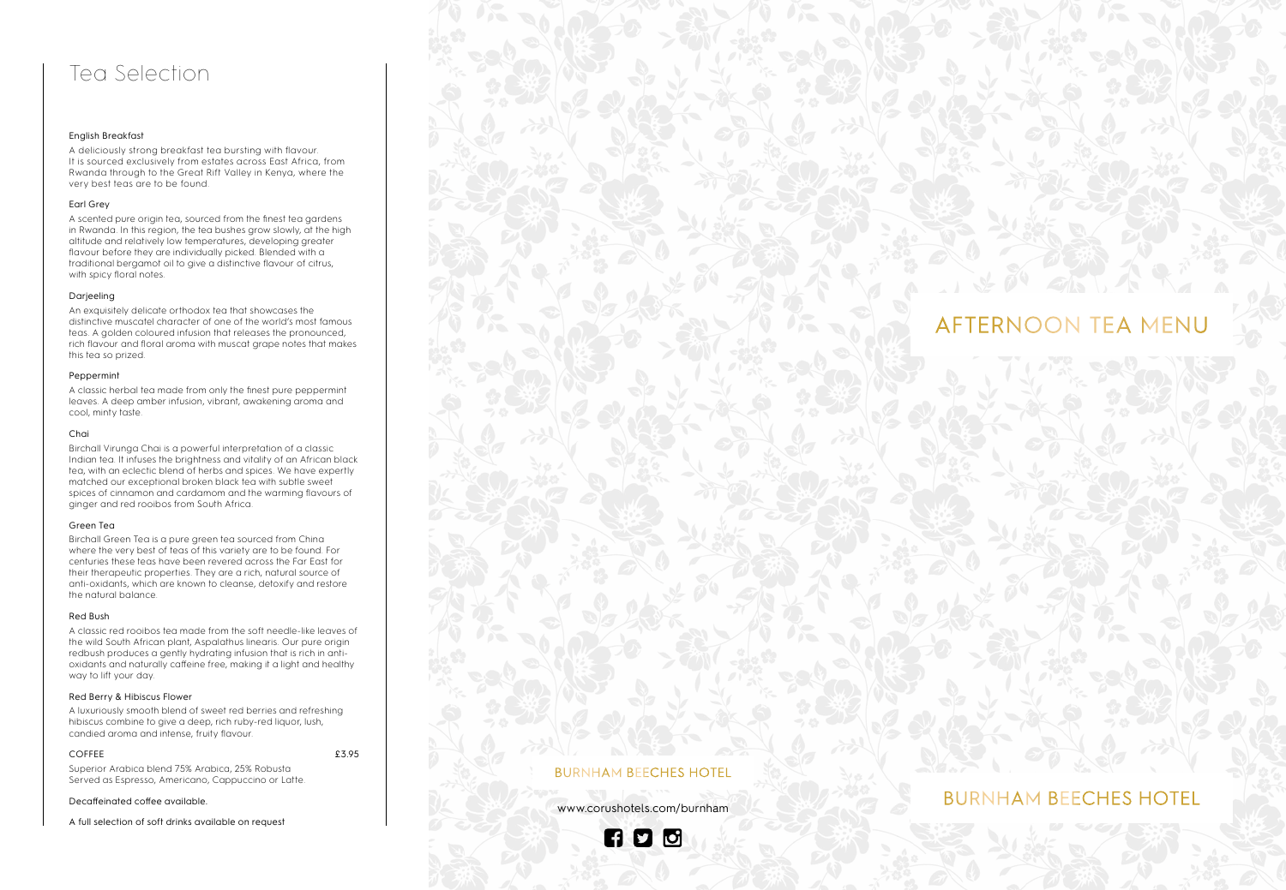## Tea Selection

#### English Breakfast

A deliciously strong breakfast tea bursting with flavour. It is sourced exclusively from estates across East Africa, from Rwanda through to the Great Rift Valley in Kenya, where the very best teas are to be found.

#### Earl Grey

A scented pure origin tea, sourced from the finest tea gardens in Rwanda. In this region, the tea bushes grow slowly, at the high altitude and relatively low temperatures, developing greater flavour before they are individually picked. Blended with a traditional bergamot oil to give a distinctive flavour of citrus, with spicy floral notes.

#### Darjeeling

An exquisitely delicate orthodox tea that showcases the distinctive muscatel character of one of the world's most famous teas. A golden coloured infusion that releases the pronounced, rich flavour and floral aroma with muscat grape notes that makes this tea so prized.

#### Peppermint

A classic herbal tea made from only the finest pure peppermint leaves. A deep amber infusion, vibrant, awakening aroma and cool, minty taste.

#### Chai

Birchall Virunga Chai is a powerful interpretation of a classic Indian tea. It infuses the brightness and vitality of an African black tea, with an eclectic blend of herbs and spices. We have expertly matched our exceptional broken black tea with subtle sweet spices of cinnamon and cardamom and the warming flavours of ginger and red rooibos from South Africa.

#### Green Tea

Birchall Green Tea is a pure green tea sourced from China where the very best of teas of this variety are to be found. For centuries these teas have been revered across the Far East for their therapeutic properties. They are a rich, natural source of anti-oxidants, which are known to cleanse, detoxify and restore the natural balance.

#### Red Bush

A classic red rooibos tea made from the soft needle-like leaves of the wild South African plant, Aspalathus linearis. Our pure origin redbush produces a gently hydrating infusion that is rich in antioxidants and naturally caffeine free, making it a light and healthy way to lift your day.

#### Red Berry & Hibiscus Flower

A luxuriously smooth blend of sweet red berries and refreshing hibiscus combine to give a deep, rich ruby-red liquor, lush, candied aroma and intense, fruity flavour.

#### COFFEE 23.95

Superior Arabica blend 75% Arabica, 25% Robusta Served as Espresso, Americano, Cappuccino or Latte.

#### Decaffeinated coffee available.

A full selection of soft drinks available on request

## AFTERNOON TEA MENU

#### **BURNHAM BEECHES HOTEL**

www.corushotels.com/burnham

## **AD 0**

### **BURNHAM BEECHES HOTEL**